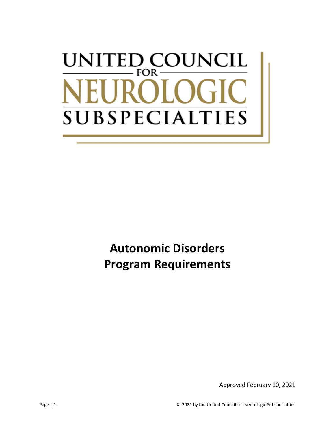# UNITED COUNCIL  $FOR \cdot$ SUBSPECIALT **IES**

**Autonomic Disorders Program Requirements**

Approved February 10, 2021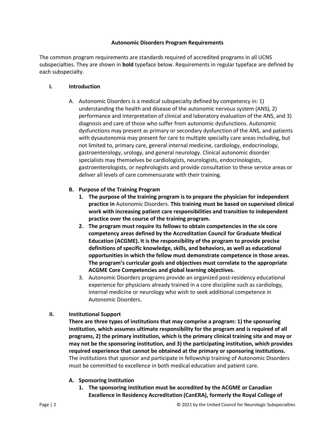#### **Autonomic Disorders Program Requirements**

The common program requirements are standards required of accredited programs in all UCNS subspecialties. They are shown in **bold** typeface below. Requirements in regular typeface are defined by each subspecialty.

#### **I. Introduction**

A. Autonomic Disorders is a medical subspecialty defined by competency in: 1) understanding the health and disease of the autonomic nervous system (ANS), 2) performance and interpretation of clinical and laboratory evaluation of the ANS, and 3) diagnosis and care of those who suffer from autonomic dysfunctions. Autonomic dysfunctions may present as primary or secondary dysfunction of the ANS, and patients with dysautonomia may present for care to multiple specialty care areas including, but not limited to, primary care, general internal medicine, cardiology, endocrinology, gastroenterology, urology, and general neurology. Clinical autonomic disorder specialists may themselves be cardiologists, neurologists, endocrinologists, gastroenterologists, or nephrologists and provide consultation to these service areas or deliver all levels of care commensurate with their training.

## **B. Purpose of the Training Program**

- **1. The purpose of the training program is to prepare the physician for independent practice in** Autonomic Disorders. **This training must be based on supervised clinical work with increasing patient care responsibilities and transition to independent practice over the course of the training program.**
- **2. The program must require its fellows to obtain competencies in the six core competency areas defined by the Accreditation Council for Graduate Medical Education (ACGME). It is the responsibility of the program to provide precise definitions of specific knowledge, skills, and behaviors, as well as educational opportunities in which the fellow must demonstrate competence in those areas. The program's curricular goals and objectives must correlate to the appropriate ACGME Core Competencies and global learning objectives.**
- 3. Autonomic Disorders programs provide an organized post-residency educational experience for physicians already trained in a core discipline such as cardiology, internal medicine or neurology who wish to seek additional competence in Autonomic Disorders.

## **II. Institutional Support**

**There are three types of institutions that may comprise a program: 1) the sponsoring institution, which assumes ultimate responsibility for the program and is required of all programs, 2) the primary institution, which is the primary clinical training site and may or may not be the sponsoring institution, and 3) the participating institution, which provides required experience that cannot be obtained at the primary or sponsoring institutions.** The institutions that sponsor and participate in fellowship training of Autonomic Disorders must be committed to excellence in both medical education and patient care.

## **A. Sponsoring Institution**

**1. The sponsoring institution must be accredited by the ACGME or Canadian Excellence in Residency Accreditation (CanERA), formerly the Royal College of**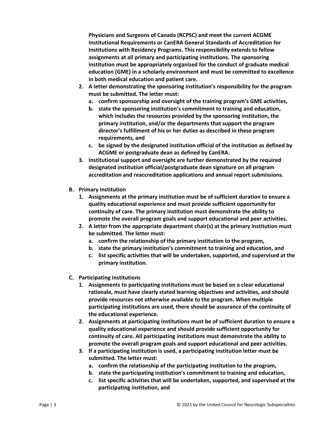**Physicians and Surgeons of Canada (RCPSC) and meet the current ACGME Institutional Requirements or CanERA General Standards of Accreditation for Institutions with Residency Programs. This responsibility extends to fellow assignments at all primary and participating institutions. The sponsoring institution must be appropriately organized for the conduct of graduate medical education (GME) in a scholarly environment and must be committed to excellence in both medical education and patient care.**

- **2. A letter demonstrating the sponsoring institution's responsibility for the program must be submitted. The letter must:**
	- **a. confirm sponsorship and oversight of the training program's GME activities,**
	- **b. state the sponsoring institution's commitment to training and education, which includes the resources provided by the sponsoring institution, the primary institution, and/or the departments that support the program director's fulfillment of his or her duties as described in these program requirements, and**
	- **c. be signed by the designated institution official of the institution as defined by ACGME or postgraduate dean as defined by CanERA.**
- **3. Institutional support and oversight are further demonstrated by the required designated institution official/postgraduate dean signature on all program accreditation and reaccreditation applications and annual report submissions.**
- **B. Primary Institution**
	- **1. Assignments at the primary institution must be of sufficient duration to ensure a quality educational experience and must provide sufficient opportunity for continuity of care. The primary institution must demonstrate the ability to promote the overall program goals and support educational and peer activities.**
	- **2. A letter from the appropriate department chair(s) at the primary institution must be submitted. The letter must:**
		- **a. confirm the relationship of the primary institution to the program,**
		- **b. state the primary institution's commitment to training and education, and**
		- **c. list specific activities that will be undertaken, supported, and supervised at the primary institution.**
- **C. Participating Institutions**
	- **1. Assignments to participating institutions must be based on a clear educational rationale, must have clearly stated learning objectives and activities, and should provide resources not otherwise available to the program. When multiple participating institutions are used, there should be assurance of the continuity of the educational experience.**
	- **2. Assignments at participating institutions must be of sufficient duration to ensure a quality educational experience and should provide sufficient opportunity for continuity of care. All participating institutions must demonstrate the ability to promote the overall program goals and support educational and peer activities.**
	- **3. If a participating institution is used, a participating institution letter must be submitted. The letter must:**
		- **a. confirm the relationship of the participating institution to the program,**
		- **b. state the participating institution's commitment to training and education,**
		- **c. list specific activities that will be undertaken, supported, and supervised at the participating institution, and**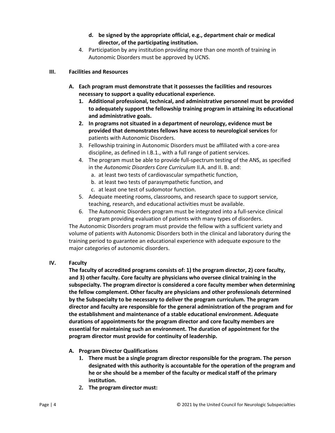- **d. be signed by the appropriate official, e.g., department chair or medical director, of the participating institution.**
- 4. Participation by any institution providing more than one month of training in Autonomic Disorders must be approved by UCNS.

# **III. Facilities and Resources**

- **A. Each program must demonstrate that it possesses the facilities and resources necessary to support a quality educational experience.**
	- **1. Additional professional, technical, and administrative personnel must be provided to adequately support the fellowship training program in attaining its educational and administrative goals.**
	- **2. In programs not situated in a department of neurology, evidence must be provided that demonstrates fellows have access to neurological services** for patients with Autonomic Disorders.
	- 3. Fellowship training in Autonomic Disorders must be affiliated with a core-area discipline, as defined in I.B.1., with a full range of patient services.
	- 4. The program must be able to provide full-spectrum testing of the ANS, as specified in the *Autonomic Disorders Core Curriculum* II.A. and II. B. and:
		- a. at least two tests of cardiovascular sympathetic function,
		- b. at least two tests of parasympathetic function, and
		- c. at least one test of sudomotor function.
	- 5. Adequate meeting rooms, classrooms, and research space to support service, teaching, research, and educational activities must be available.
	- 6. The Autonomic Disorders program must be integrated into a full-service clinical program providing evaluation of patients with many types of disorders.

The Autonomic Disorders program must provide the fellow with a sufficient variety and volume of patients with Autonomic Disorders both in the clinical and laboratory during the training period to guarantee an educational experience with adequate exposure to the major categories of autonomic disorders.

## **IV. Faculty**

**The faculty of accredited programs consists of: 1) the program director, 2) core faculty, and 3) other faculty. Core faculty are physicians who oversee clinical training in the subspecialty. The program director is considered a core faculty member when determining the fellow complement. Other faculty are physicians and other professionals determined by the Subspecialty to be necessary to deliver the program curriculum. The program director and faculty are responsible for the general administration of the program and for the establishment and maintenance of a stable educational environment. Adequate durations of appointments for the program director and core faculty members are essential for maintaining such an environment. The duration of appointment for the program director must provide for continuity of leadership.**

- **A. Program Director Qualifications**
	- **1. There must be a single program director responsible for the program. The person designated with this authority is accountable for the operation of the program and he or she should be a member of the faculty or medical staff of the primary institution.**
	- **2. The program director must:**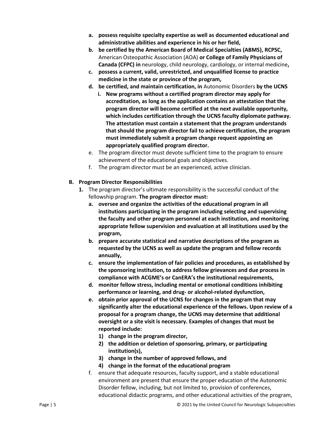- **a. possess requisite specialty expertise as well as documented educational and administrative abilities and experience in his or her field,**
- **b. be certified by the American Board of Medical Specialties (ABMS), RCPSC,** American Osteopathic Association (AOA) **or College of Family Physicians of Canada (CFPC) in** neurology, child neurology, cardiology, or internal medicine**,**
- **c. possess a current, valid, unrestricted, and unqualified license to practice medicine in the state or province of the program,**
- **d. be certified, and maintain certification, in** Autonomic Disorders **by the UCNS**
	- **i. New programs without a certified program director may apply for accreditation, as long as the application contains an attestation that the program director will become certified at the next available opportunity, which includes certification through the UCNS faculty diplomate pathway. The attestation must contain a statement that the program understands that should the program director fail to achieve certification, the program must immediately submit a program change request appointing an appropriately qualified program director.**
- e. The program director must devote sufficient time to the program to ensure achievement of the educational goals and objectives.
- f. The program director must be an experienced, active clinician.

# **B. Program Director Responsibilities**

- **1.** The program director's ultimate responsibility is the successful conduct of the fellowship program. **The program director must:**
	- **a. oversee and organize the activities of the educational program in all institutions participating in the program including selecting and supervising the faculty and other program personnel at each institution, and monitoring appropriate fellow supervision and evaluation at all institutions used by the program,**
	- **b. prepare accurate statistical and narrative descriptions of the program as requested by the UCNS as well as update the program and fellow records annually,**
	- **c. ensure the implementation of fair policies and procedures, as established by the sponsoring institution, to address fellow grievances and due process in compliance with ACGME's or CanERA's the institutional requirements,**
	- **d. monitor fellow stress, including mental or emotional conditions inhibiting performance or learning, and drug- or alcohol-related dysfunction,**
	- **e. obtain prior approval of the UCNS for changes in the program that may significantly alter the educational experience of the fellows. Upon review of a proposal for a program change, the UCNS may determine that additional oversight or a site visit is necessary. Examples of changes that must be reported include:**
		- **1) change in the program director,**
		- **2) the addition or deletion of sponsoring, primary, or participating institution(s),**
		- **3) change in the number of approved fellows, and**
		- **4) change in the format of the educational program**
	- f. ensure that adequate resources, faculty support, and a stable educational environment are present that ensure the proper education of the Autonomic Disorder fellow, including, but not limited to, provision of conferences, educational didactic programs, and other educational activities of the program,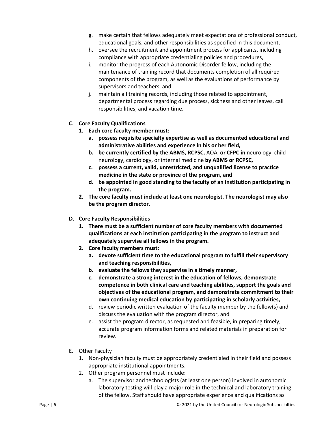- g. make certain that fellows adequately meet expectations of professional conduct, educational goals, and other responsibilities as specified in this document,
- h. oversee the recruitment and appointment process for applicants, including compliance with appropriate credentialing policies and procedures,
- i. monitor the progress of each Autonomic Disorder fellow, including the maintenance of training record that documents completion of all required components of the program, as well as the evaluations of performance by supervisors and teachers, and
- j. maintain all training records, including those related to appointment, departmental process regarding due process, sickness and other leaves, call responsibilities, and vacation time.
- **C. Core Faculty Qualifications**
	- **1. Each core faculty member must:** 
		- **a. possess requisite specialty expertise as well as documented educational and administrative abilities and experience in his or her field,**
		- **b. be currently certified by the ABMS, RCPSC,** AOA, **or CFPC in** neurology, child neurology, cardiology, or internal medicine **by ABMS or RCPSC,**
		- **c. possess a current, valid, unrestricted, and unqualified license to practice medicine in the state or province of the program, and**
		- **d. be appointed in good standing to the faculty of an institution participating in the program.**
	- **2. The core faculty must include at least one neurologist. The neurologist may also be the program director.**
- **D. Core Faculty Responsibilities**
	- **1. There must be a sufficient number of core faculty members with documented qualifications at each institution participating in the program to instruct and adequately supervise all fellows in the program.**
	- **2. Core faculty members must:**
		- **a. devote sufficient time to the educational program to fulfill their supervisory and teaching responsibilities,**
		- **b. evaluate the fellows they supervise in a timely manner,**
		- **c. demonstrate a strong interest in the education of fellows, demonstrate competence in both clinical care and teaching abilities, support the goals and objectives of the educational program, and demonstrate commitment to their own continuing medical education by participating in scholarly activities,**
		- d. review periodic written evaluation of the faculty member by the fellow(s) and discuss the evaluation with the program director, and
		- e. assist the program director, as requested and feasible, in preparing timely, accurate program information forms and related materials in preparation for review.
- E. Other Faculty
	- 1. Non-physician faculty must be appropriately credentialed in their field and possess appropriate institutional appointments.
	- 2. Other program personnel must include:
		- a. The supervisor and technologists (at least one person) involved in autonomic laboratory testing will play a major role in the technical and laboratory training of the fellow. Staff should have appropriate experience and qualifications as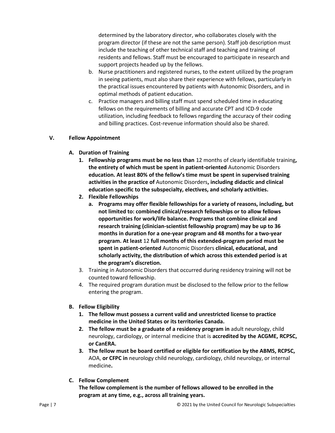determined by the laboratory director, who collaborates closely with the program director (if these are not the same person). Staff job description must include the teaching of other technical staff and teaching and training of residents and fellows. Staff must be encouraged to participate in research and support projects headed up by the fellows.

- b. Nurse practitioners and registered nurses, to the extent utilized by the program in seeing patients, must also share their experience with fellows, particularly in the practical issues encountered by patients with Autonomic Disorders, and in optimal methods of patient education.
- c. Practice managers and billing staff must spend scheduled time in educating fellows on the requirements of billing and accurate CPT and ICD-9 code utilization, including feedback to fellows regarding the accuracy of their coding and billing practices. Cost-revenue information should also be shared.

# **V. Fellow Appointment**

- **A. Duration of Training**
	- **1. Fellowship programs must be no less than** 12 months of clearly identifiable training**, the entirety of which must be spent in patient-oriented** Autonomic Disorders **education. At least 80% of the fellow's time must be spent in supervised training activities in the practice of** Autonomic Disorders**, including didactic and clinical education specific to the subspecialty, electives, and scholarly activities.**
	- **2. Flexible Fellowships**
		- **a. Programs may offer flexible fellowships for a variety of reasons, including, but not limited to: combined clinical/research fellowships or to allow fellows opportunities for work/life balance. Programs that combine clinical and research training (clinician-scientist fellowship program) may be up to 36 months in duration for a one-year program and 48 months for a two-year program. At least** 12 **full months of this extended-program period must be spent in patient-oriented** Autonomic Disorders **clinical, educational, and scholarly activity, the distribution of which across this extended period is at the program's discretion.**
	- 3. Training in Autonomic Disorders that occurred during residency training will not be counted toward fellowship.
	- 4. The required program duration must be disclosed to the fellow prior to the fellow entering the program.
- **B. Fellow Eligibility**
	- **1. The fellow must possess a current valid and unrestricted license to practice medicine in the United States or its territories Canada.**
	- **2. The fellow must be a graduate of a residency program in** adult neurology, child neurology, cardiology, or internal medicine that is **accredited by the ACGME, RCPSC, or CanERA.**
	- **3. The fellow must be board certified or eligible for certification by the ABMS, RCPSC,** AOA, **or CFPC in** neurology child neurology, cardiology, child neurology, or internal medicine**.**
- **C. Fellow Complement**

**The fellow complement is the number of fellows allowed to be enrolled in the program at any time, e.g., across all training years.**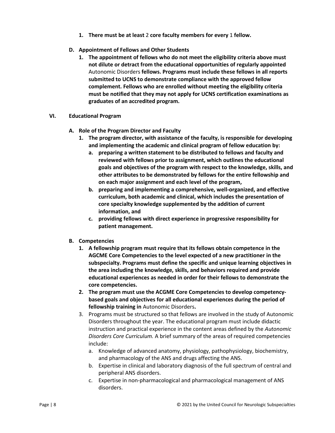- **1. There must be at least** 2 **core faculty members for every** 1 **fellow.**
- **D. Appointment of Fellows and Other Students**
	- **1. The appointment of fellows who do not meet the eligibility criteria above must not dilute or detract from the educational opportunities of regularly appointed**  Autonomic Disorders **fellows. Programs must include these fellows in all reports submitted to UCNS to demonstrate compliance with the approved fellow complement. Fellows who are enrolled without meeting the eligibility criteria must be notified that they may not apply for UCNS certification examinations as graduates of an accredited program.**
- **VI. Educational Program**
	- **A. Role of the Program Director and Faculty**
		- **1. The program director, with assistance of the faculty, is responsible for developing and implementing the academic and clinical program of fellow education by:**
			- **a. preparing a written statement to be distributed to fellows and faculty and reviewed with fellows prior to assignment, which outlines the educational goals and objectives of the program with respect to the knowledge, skills, and other attributes to be demonstrated by fellows for the entire fellowship and on each major assignment and each level of the program,**
			- **b. preparing and implementing a comprehensive, well-organized, and effective curriculum, both academic and clinical, which includes the presentation of core specialty knowledge supplemented by the addition of current information, and**
			- **c. providing fellows with direct experience in progressive responsibility for patient management.**
	- **B. Competencies**
		- **1. A fellowship program must require that its fellows obtain competence in the AGCME Core Competencies to the level expected of a new practitioner in the subspecialty. Programs must define the specific and unique learning objectives in the area including the knowledge, skills, and behaviors required and provide educational experiences as needed in order for their fellows to demonstrate the core competencies.**
		- **2. The program must use the ACGME Core Competencies to develop competencybased goals and objectives for all educational experiences during the period of fellowship training in** Autonomic Disorders**.**
		- 3. Programs must be structured so that fellows are involved in the study of Autonomic Disorders throughout the year. The educational program must include didactic instruction and practical experience in the content areas defined by the *Autonomic Disorders Core Curriculum.* A brief summary of the areas of required competencies include:
			- a. Knowledge of advanced anatomy, physiology, pathophysiology, biochemistry, and pharmacology of the ANS and drugs affecting the ANS.
			- b. Expertise in clinical and laboratory diagnosis of the full spectrum of central and peripheral ANS disorders.
			- c. Expertise in non-pharmacological and pharmacological management of ANS disorders.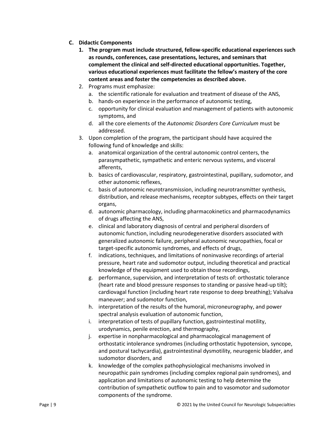- **C. Didactic Components**
	- **1. The program must include structured, fellow-specific educational experiences such as rounds, conferences, case presentations, lectures, and seminars that complement the clinical and self-directed educational opportunities. Together, various educational experiences must facilitate the fellow's mastery of the core content areas and foster the competencies as described above.**
	- 2. Programs must emphasize:
		- a. the scientific rationale for evaluation and treatment of disease of the ANS,
		- b. hands-on experience in the performance of autonomic testing,
		- c. opportunity for clinical evaluation and management of patients with autonomic symptoms, and
		- d. all the core elements of the *Autonomic Disorders Core Curriculum* must be addressed.
	- 3. Upon completion of the program, the participant should have acquired the following fund of knowledge and skills:
		- a. anatomical organization of the central autonomic control centers, the parasympathetic, sympathetic and enteric nervous systems, and visceral afferents,
		- b. basics of cardiovascular, respiratory, gastrointestinal, pupillary, sudomotor, and other autonomic reflexes,
		- c. basis of autonomic neurotransmission, including neurotransmitter synthesis, distribution, and release mechanisms, receptor subtypes, effects on their target organs,
		- d. autonomic pharmacology, including pharmacokinetics and pharmacodynamics of drugs affecting the ANS,
		- e. clinical and laboratory diagnosis of central and peripheral disorders of autonomic function, including neurodegenerative disorders associated with generalized autonomic failure, peripheral autonomic neuropathies, focal or target-specific autonomic syndromes, and effects of drugs,
		- f. indications, techniques, and limitations of noninvasive recordings of arterial pressure, heart rate and sudomotor output, including theoretical and practical knowledge of the equipment used to obtain those recordings,
		- g. performance, supervision, and interpretation of tests of: orthostatic tolerance (heart rate and blood pressure responses to standing or passive head-up tilt); cardiovagal function (including heart rate response to deep breathing); Valsalva maneuver; and sudomotor function,
		- h. interpretation of the results of the humoral, microneurography, and power spectral analysis evaluation of autonomic function,
		- i. interpretation of tests of pupillary function, gastrointestinal motility, urodynamics, penile erection, and thermography,
		- j. expertise in nonpharmacological and pharmacological management of orthostatic intolerance syndromes (including orthostatic hypotension, syncope, and postural tachycardia), gastrointestinal dysmotility, neurogenic bladder, and sudomotor disorders, and
		- k. knowledge of the complex pathophysiological mechanisms involved in neuropathic pain syndromes (including complex regional pain syndromes), and application and limitations of autonomic testing to help determine the contribution of sympathetic outflow to pain and to vasomotor and sudomotor components of the syndrome.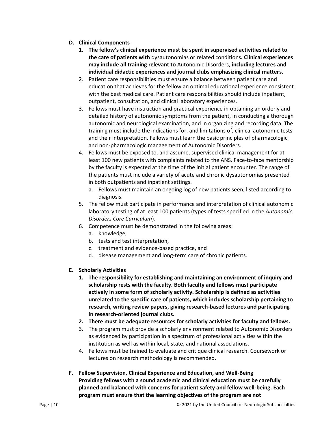- **D. Clinical Components**
	- **1. The fellow's clinical experience must be spent in supervised activities related to the care of patients with** dysautonomias or related conditions**. Clinical experiences may include all training relevant to** Autonomic Disorders, **including lectures and individual didactic experiences and journal clubs emphasizing clinical matters.**
	- 2. Patient care responsibilities must ensure a balance between patient care and education that achieves for the fellow an optimal educational experience consistent with the best medical care. Patient care responsibilities should include inpatient, outpatient, consultation, and clinical laboratory experiences.
	- 3. Fellows must have instruction and practical experience in obtaining an orderly and detailed history of autonomic symptoms from the patient, in conducting a thorough autonomic and neurological examination, and in organizing and recording data. The training must include the indications for, and limitations of, clinical autonomic tests and their interpretation. Fellows must learn the basic principles of pharmacologic and non-pharmacologic management of Autonomic Disorders.
	- 4. Fellows must be exposed to, and assume, supervised clinical management for at least 100 new patients with complaints related to the ANS. Face-to-face mentorship by the faculty is expected at the time of the initial patient encounter. The range of the patients must include a variety of acute and chronic dysautonomias presented in both outpatients and inpatient settings.
		- a. Fellows must maintain an ongoing log of new patients seen, listed according to diagnosis.
	- 5. The fellow must participate in performance and interpretation of clinical autonomic laboratory testing of at least 100 patients (types of tests specified in the *Autonomic Disorders Core Curriculum*).
	- 6. Competence must be demonstrated in the following areas:
		- a. knowledge,
		- b. tests and test interpretation,
		- c. treatment and evidence-based practice, and
		- d. disease management and long-term care of chronic patients.
- **E. Scholarly Activities**
	- **1. The responsibility for establishing and maintaining an environment of inquiry and scholarship rests with the faculty. Both faculty and fellows must participate actively in some form of scholarly activity. Scholarship is defined as activities unrelated to the specific care of patients, which includes scholarship pertaining to research, writing review papers, giving research-based lectures and participating in research-oriented journal clubs.**
	- **2. There must be adequate resources for scholarly activities for faculty and fellows.**
	- 3. The program must provide a scholarly environment related to Autonomic Disorders as evidenced by participation in a spectrum of professional activities within the institution as well as within local, state, and national associations.
	- 4. Fellows must be trained to evaluate and critique clinical research. Coursework or lectures on research methodology is recommended.
- **F. Fellow Supervision, Clinical Experience and Education, and Well-Being Providing fellows with a sound academic and clinical education must be carefully planned and balanced with concerns for patient safety and fellow well-being. Each program must ensure that the learning objectives of the program are not**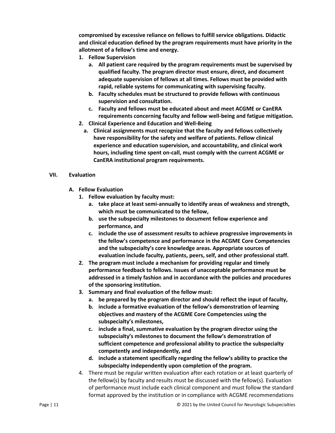**compromised by excessive reliance on fellows to fulfill service obligations. Didactic and clinical education defined by the program requirements must have priority in the allotment of a fellow's time and energy.**

- **1. Fellow Supervision**
	- **a. All patient care required by the program requirements must be supervised by qualified faculty. The program director must ensure, direct, and document adequate supervision of fellows at all times. Fellows must be provided with rapid, reliable systems for communicating with supervising faculty.**
	- **b. Faculty schedules must be structured to provide fellows with continuous supervision and consultation.**
	- **c. Faculty and fellows must be educated about and meet ACGME or CanERA requirements concerning faculty and fellow well-being and fatigue mitigation.**
- **2. Clinical Experience and Education and Well-Being**
	- **a. Clinical assignments must recognize that the faculty and fellows collectively have responsibility for the safety and welfare of patients. Fellow clinical experience and education supervision, and accountability, and clinical work hours, including time spent on-call, must comply with the current ACGME or CanERA institutional program requirements.**

#### **VII. Evaluation**

- **A. Fellow Evaluation**
	- **1. Fellow evaluation by faculty must:**
		- **a. take place at least semi-annually to identify areas of weakness and strength, which must be communicated to the fellow,**
		- **b. use the subspecialty milestones to document fellow experience and performance, and**
		- **c. include the use of assessment results to achieve progressive improvements in the fellow's competence and performance in the ACGME Core Competencies and the subspecialty's core knowledge areas. Appropriate sources of evaluation include faculty, patients, peers, self, and other professional staff.**
	- **2. The program must include a mechanism for providing regular and timely performance feedback to fellows. Issues of unacceptable performance must be addressed in a timely fashion and in accordance with the policies and procedures of the sponsoring institution.**
	- **3. Summary and final evaluation of the fellow must:**
		- **a. be prepared by the program director and should reflect the input of faculty,**
		- **b. include a formative evaluation of the fellow's demonstration of learning objectives and mastery of the ACGME Core Competencies using the subspecialty's milestones,**
		- **c. include a final, summative evaluation by the program director using the subspecialty's milestones to document the fellow's demonstration of sufficient competence and professional ability to practice the subspecialty competently and independently, and**
		- **d. include a statement specifically regarding the fellow's ability to practice the subspecialty independently upon completion of the program.**
	- 4. There must be regular written evaluation after each rotation or at least quarterly of the fellow(s) by faculty and results must be discussed with the fellow(s). Evaluation of performance must include each clinical component and must follow the standard format approved by the institution or in compliance with ACGME recommendations